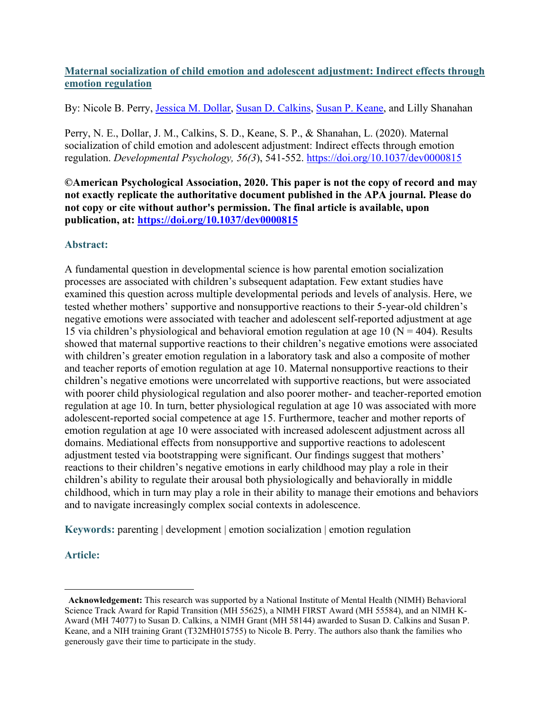# **Maternal socialization of child emotion and adolescent adjustment: Indirect effects through emotion regulation**

By: Nicole B. Perry, *Jessica M. Dollar, [Susan D. Calkins,](https://libres.uncg.edu/ir/uncg/clist.aspx?id=1258) [Susan P. Keane,](http://libres.uncg.edu/ir/uncg/clist.aspx?id=557) and Lilly Shanahan* 

Perry, N. E., Dollar, J. M., Calkins, S. D., Keane, S. P., & Shanahan, L. (2020). Maternal socialization of child emotion and adolescent adjustment: Indirect effects through emotion regulation. *Developmental Psychology, 56(3*), 541-552. <https://doi.org/10.1037/dev0000815>

**©American Psychological Association, 2020. This paper is not the copy of record and may not exactly replicate the authoritative document published in the APA journal. Please do not copy or cite without author's permission. The final article is available, upon publication, at: <https://doi.org/10.1037/dev0000815>**

# **Abstract:**

A fundamental question in developmental science is how parental emotion socialization processes are associated with children's subsequent adaptation. Few extant studies have examined this question across multiple developmental periods and levels of analysis. Here, we tested whether mothers' supportive and nonsupportive reactions to their 5-year-old children's negative emotions were associated with teacher and adolescent self-reported adjustment at age 15 via children's physiological and behavioral emotion regulation at age 10 ( $N = 404$ ). Results showed that maternal supportive reactions to their children's negative emotions were associated with children's greater emotion regulation in a laboratory task and also a composite of mother and teacher reports of emotion regulation at age 10. Maternal nonsupportive reactions to their children's negative emotions were uncorrelated with supportive reactions, but were associated with poorer child physiological regulation and also poorer mother- and teacher-reported emotion regulation at age 10. In turn, better physiological regulation at age 10 was associated with more adolescent-reported social competence at age 15. Furthermore, teacher and mother reports of emotion regulation at age 10 were associated with increased adolescent adjustment across all domains. Mediational effects from nonsupportive and supportive reactions to adolescent adjustment tested via bootstrapping were significant. Our findings suggest that mothers' reactions to their children's negative emotions in early childhood may play a role in their children's ability to regulate their arousal both physiologically and behaviorally in middle childhood, which in turn may play a role in their ability to manage their emotions and behaviors and to navigate increasingly complex social contexts in adolescence.

**Keywords:** parenting | development | emotion socialization | emotion regulation

# **Article:**

<span id="page-0-0"></span>**Acknowledgement:** This research was supported by a National Institute of Mental Health (NIMH) Behavioral Science Track Award for Rapid Transition (MH 55625), a NIMH FIRST Award (MH 55584), and an NIMH K-Award (MH 74077) to Susan D. Calkins, a NIMH Grant (MH 58144) awarded to Susan D. Calkins and Susan P. Keane, and a NIH training Grant (T32MH015755) to Nicole B. Perry. The authors also thank the families who generously gave their time to participate in the study.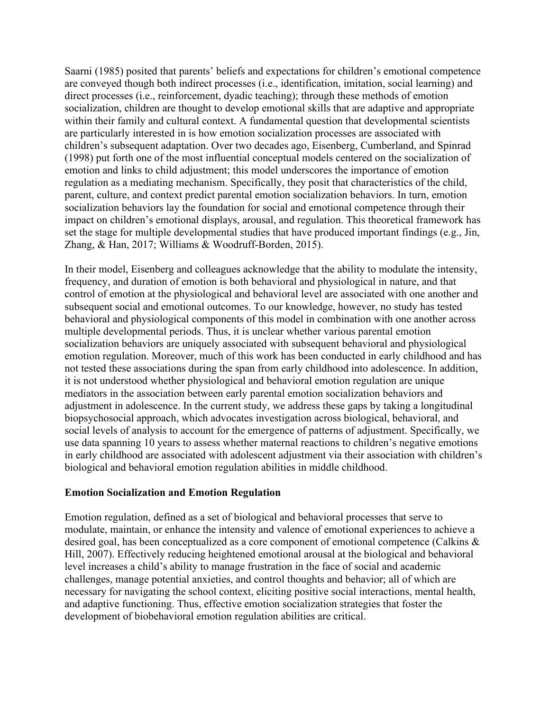Saarni (1985) posited that parents' beliefs and expectations for children's emotional competence are conveyed though both indirect processes (i.e., identification, imitation, social learning) and direct processes (i.e., reinforcement, dyadic teaching); through these methods of emotion socialization, children are thought to develop emotional skills that are adaptive and appropriate within their family and cultural context. A fundamental question that developmental scientists are particularly interested in is how emotion socialization processes are associated with children's subsequent adaptation. Over two decades ago, Eisenberg, Cumberland, and Spinrad (1998) put forth one of the most influential conceptual models centered on the socialization of emotion and links to child adjustment; this model underscores the importance of emotion regulation as a mediating mechanism. Specifically, they posit that characteristics of the child, parent, culture, and context predict parental emotion socialization behaviors. In turn, emotion socialization behaviors lay the foundation for social and emotional competence through their impact on children's emotional displays, arousal, and regulation. This theoretical framework has set the stage for multiple developmental studies that have produced important findings (e.g., Jin, Zhang, & Han, 2017; Williams & Woodruff-Borden, 2015).

In their model, Eisenberg and colleagues acknowledge that the ability to modulate the intensity, frequency, and duration of emotion is both behavioral and physiological in nature, and that control of emotion at the physiological and behavioral level are associated with one another and subsequent social and emotional outcomes. To our knowledge, however, no study has tested behavioral and physiological components of this model in combination with one another across multiple developmental periods. Thus, it is unclear whether various parental emotion socialization behaviors are uniquely associated with subsequent behavioral and physiological emotion regulation. Moreover, much of this work has been conducted in early childhood and has not tested these associations during the span from early childhood into adolescence. In addition, it is not understood whether physiological and behavioral emotion regulation are unique mediators in the association between early parental emotion socialization behaviors and adjustment in adolescence. In the current study, we address these gaps by taking a longitudinal biopsychosocial approach, which advocates investigation across biological, behavioral, and social levels of analysis to account for the emergence of patterns of adjustment. Specifically, we use data spanning 10 years to assess whether maternal reactions to children's negative emotions in early childhood are associated with adolescent adjustment via their association with children's biological and behavioral emotion regulation abilities in middle childhood.

### **Emotion Socialization and Emotion Regulation**

Emotion regulation, defined as a set of biological and behavioral processes that serve to modulate, maintain, or enhance the intensity and valence of emotional experiences to achieve a desired goal, has been conceptualized as a core component of emotional competence (Calkins & Hill, 2007). Effectively reducing heightened emotional arousal at the biological and behavioral level increases a child's ability to manage frustration in the face of social and academic challenges, manage potential anxieties, and control thoughts and behavior; all of which are necessary for navigating the school context, eliciting positive social interactions, mental health, and adaptive functioning. Thus, effective emotion socialization strategies that foster the development of biobehavioral emotion regulation abilities are critical.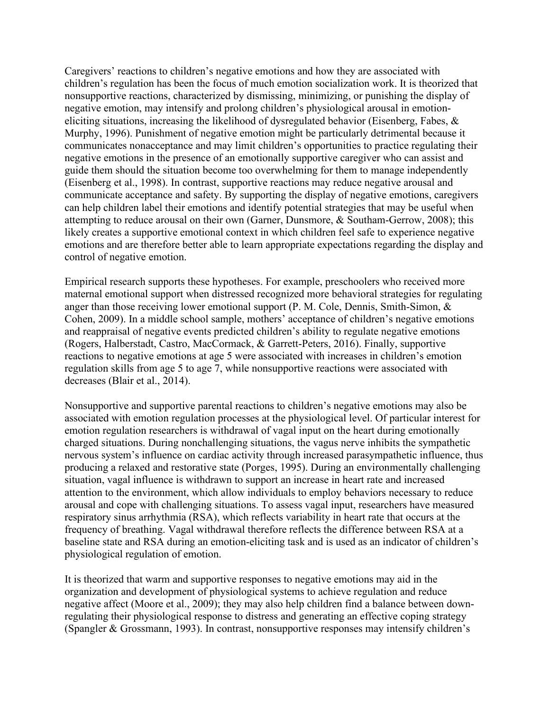Caregivers' reactions to children's negative emotions and how they are associated with children's regulation has been the focus of much emotion socialization work. It is theorized that nonsupportive reactions, characterized by dismissing, minimizing, or punishing the display of negative emotion, may intensify and prolong children's physiological arousal in emotioneliciting situations, increasing the likelihood of dysregulated behavior (Eisenberg, Fabes, & Murphy, 1996). Punishment of negative emotion might be particularly detrimental because it communicates nonacceptance and may limit children's opportunities to practice regulating their negative emotions in the presence of an emotionally supportive caregiver who can assist and guide them should the situation become too overwhelming for them to manage independently (Eisenberg et al., 1998). In contrast, supportive reactions may reduce negative arousal and communicate acceptance and safety. By supporting the display of negative emotions, caregivers can help children label their emotions and identify potential strategies that may be useful when attempting to reduce arousal on their own (Garner, Dunsmore, & Southam-Gerrow, 2008); this likely creates a supportive emotional context in which children feel safe to experience negative emotions and are therefore better able to learn appropriate expectations regarding the display and control of negative emotion.

Empirical research supports these hypotheses. For example, preschoolers who received more maternal emotional support when distressed recognized more behavioral strategies for regulating anger than those receiving lower emotional support (P. M. Cole, Dennis, Smith-Simon, & Cohen, 2009). In a middle school sample, mothers' acceptance of children's negative emotions and reappraisal of negative events predicted children's ability to regulate negative emotions (Rogers, Halberstadt, Castro, MacCormack, & Garrett-Peters, 2016). Finally, supportive reactions to negative emotions at age 5 were associated with increases in children's emotion regulation skills from age 5 to age 7, while nonsupportive reactions were associated with decreases (Blair et al., 2014).

Nonsupportive and supportive parental reactions to children's negative emotions may also be associated with emotion regulation processes at the physiological level. Of particular interest for emotion regulation researchers is withdrawal of vagal input on the heart during emotionally charged situations. During nonchallenging situations, the vagus nerve inhibits the sympathetic nervous system's influence on cardiac activity through increased parasympathetic influence, thus producing a relaxed and restorative state (Porges, 1995). During an environmentally challenging situation, vagal influence is withdrawn to support an increase in heart rate and increased attention to the environment, which allow individuals to employ behaviors necessary to reduce arousal and cope with challenging situations. To assess vagal input, researchers have measured respiratory sinus arrhythmia (RSA), which reflects variability in heart rate that occurs at the frequency of breathing. Vagal withdrawal therefore reflects the difference between RSA at a baseline state and RSA during an emotion-eliciting task and is used as an indicator of children's physiological regulation of emotion.

It is theorized that warm and supportive responses to negative emotions may aid in the organization and development of physiological systems to achieve regulation and reduce negative affect (Moore et al., 2009); they may also help children find a balance between downregulating their physiological response to distress and generating an effective coping strategy (Spangler & Grossmann, 1993). In contrast, nonsupportive responses may intensify children's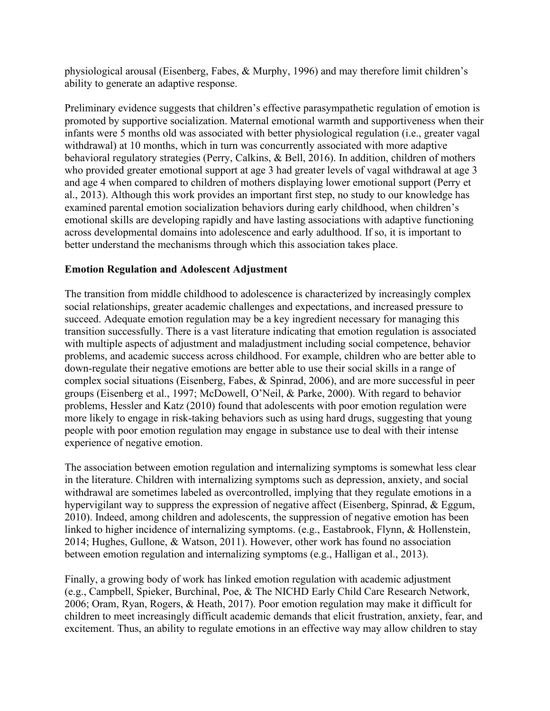physiological arousal (Eisenberg, Fabes, & Murphy, 1996) and may therefore limit children's ability to generate an adaptive response.

Preliminary evidence suggests that children's effective parasympathetic regulation of emotion is promoted by supportive socialization. Maternal emotional warmth and supportiveness when their infants were 5 months old was associated with better physiological regulation (i.e., greater vagal withdrawal) at 10 months, which in turn was concurrently associated with more adaptive behavioral regulatory strategies (Perry, Calkins, & Bell, 2016). In addition, children of mothers who provided greater emotional support at age 3 had greater levels of vagal withdrawal at age 3 and age 4 when compared to children of mothers displaying lower emotional support (Perry et al., 2013). Although this work provides an important first step, no study to our knowledge has examined parental emotion socialization behaviors during early childhood, when children's emotional skills are developing rapidly and have lasting associations with adaptive functioning across developmental domains into adolescence and early adulthood. If so, it is important to better understand the mechanisms through which this association takes place.

# **Emotion Regulation and Adolescent Adjustment**

The transition from middle childhood to adolescence is characterized by increasingly complex social relationships, greater academic challenges and expectations, and increased pressure to succeed. Adequate emotion regulation may be a key ingredient necessary for managing this transition successfully. There is a vast literature indicating that emotion regulation is associated with multiple aspects of adjustment and maladjustment including social competence, behavior problems, and academic success across childhood. For example, children who are better able to down-regulate their negative emotions are better able to use their social skills in a range of complex social situations (Eisenberg, Fabes, & Spinrad, 2006), and are more successful in peer groups (Eisenberg et al., 1997; McDowell, O'Neil, & Parke, 2000). With regard to behavior problems, Hessler and Katz (2010) found that adolescents with poor emotion regulation were more likely to engage in risk-taking behaviors such as using hard drugs, suggesting that young people with poor emotion regulation may engage in substance use to deal with their intense experience of negative emotion.

The association between emotion regulation and internalizing symptoms is somewhat less clear in the literature. Children with internalizing symptoms such as depression, anxiety, and social withdrawal are sometimes labeled as overcontrolled, implying that they regulate emotions in a hypervigilant way to suppress the expression of negative affect (Eisenberg, Spinrad, & Eggum, 2010). Indeed, among children and adolescents, the suppression of negative emotion has been linked to higher incidence of internalizing symptoms. (e.g., Eastabrook, Flynn, & Hollenstein, 2014; Hughes, Gullone, & Watson, 2011). However, other work has found no association between emotion regulation and internalizing symptoms (e.g., Halligan et al., 2013).

Finally, a growing body of work has linked emotion regulation with academic adjustment (e.g., Campbell, Spieker, Burchinal, Poe, & The NICHD Early Child Care Research Network, 2006; Oram, Ryan, Rogers, & Heath, 2017). Poor emotion regulation may make it difficult for children to meet increasingly difficult academic demands that elicit frustration, anxiety, fear, and excitement. Thus, an ability to regulate emotions in an effective way may allow children to stay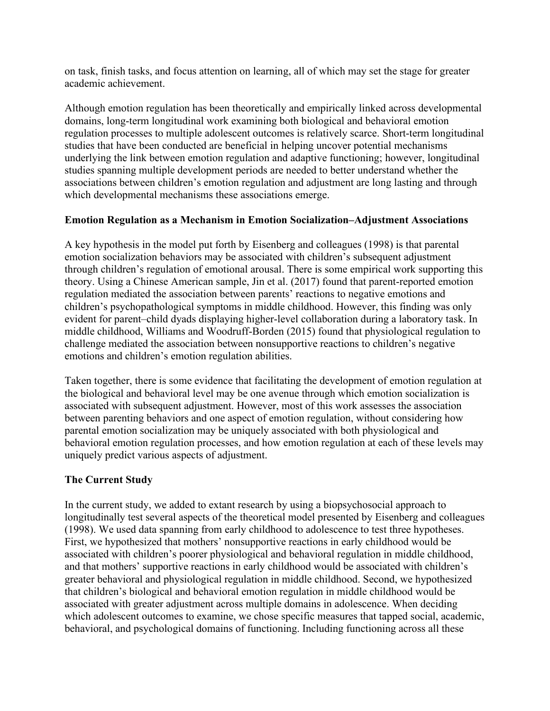on task, finish tasks, and focus attention on learning, all of which may set the stage for greater academic achievement.

Although emotion regulation has been theoretically and empirically linked across developmental domains, long-term longitudinal work examining both biological and behavioral emotion regulation processes to multiple adolescent outcomes is relatively scarce. Short-term longitudinal studies that have been conducted are beneficial in helping uncover potential mechanisms underlying the link between emotion regulation and adaptive functioning; however, longitudinal studies spanning multiple development periods are needed to better understand whether the associations between children's emotion regulation and adjustment are long lasting and through which developmental mechanisms these associations emerge.

# **Emotion Regulation as a Mechanism in Emotion Socialization–Adjustment Associations**

A key hypothesis in the model put forth by Eisenberg and colleagues (1998) is that parental emotion socialization behaviors may be associated with children's subsequent adjustment through children's regulation of emotional arousal. There is some empirical work supporting this theory. Using a Chinese American sample, Jin et al. (2017) found that parent-reported emotion regulation mediated the association between parents' reactions to negative emotions and children's psychopathological symptoms in middle childhood. However, this finding was only evident for parent–child dyads displaying higher-level collaboration during a laboratory task. In middle childhood, Williams and Woodruff-Borden (2015) found that physiological regulation to challenge mediated the association between nonsupportive reactions to children's negative emotions and children's emotion regulation abilities.

Taken together, there is some evidence that facilitating the development of emotion regulation at the biological and behavioral level may be one avenue through which emotion socialization is associated with subsequent adjustment. However, most of this work assesses the association between parenting behaviors and one aspect of emotion regulation, without considering how parental emotion socialization may be uniquely associated with both physiological and behavioral emotion regulation processes, and how emotion regulation at each of these levels may uniquely predict various aspects of adjustment.

# **The Current Study**

In the current study, we added to extant research by using a biopsychosocial approach to longitudinally test several aspects of the theoretical model presented by Eisenberg and colleagues (1998). We used data spanning from early childhood to adolescence to test three hypotheses. First, we hypothesized that mothers' nonsupportive reactions in early childhood would be associated with children's poorer physiological and behavioral regulation in middle childhood, and that mothers' supportive reactions in early childhood would be associated with children's greater behavioral and physiological regulation in middle childhood. Second, we hypothesized that children's biological and behavioral emotion regulation in middle childhood would be associated with greater adjustment across multiple domains in adolescence. When deciding which adolescent outcomes to examine, we chose specific measures that tapped social, academic, behavioral, and psychological domains of functioning. Including functioning across all these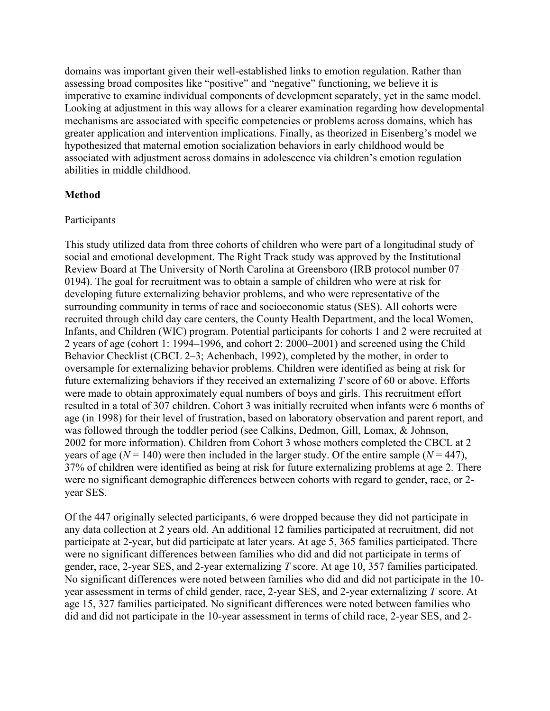domains was important given their well-established links to emotion regulation. Rather than assessing broad composites like "positive" and "negative" functioning, we believe it is imperative to examine individual components of development separately, yet in the same model. Looking at adjustment in this way allows for a clearer examination regarding how developmental mechanisms are associated with specific competencies or problems across domains, which has greater application and intervention implications. Finally, as theorized in Eisenberg's model we hypothesized that maternal emotion socialization behaviors in early childhood would be associated with adjustment across domains in adolescence via children's emotion regulation abilities in middle childhood.

### **Method**

#### Participants

This study utilized data from three cohorts of children who were part of a longitudinal study of social and emotional development. The Right Track study was approved by the Institutional Review Board at The University of North Carolina at Greensboro (IRB protocol number 07– 0194). The goal for recruitment was to obtain a sample of children who were at risk for developing future externalizing behavior problems, and who were representative of the surrounding community in terms of race and socioeconomic status (SES). All cohorts were recruited through child day care centers, the County Health Department, and the local Women, Infants, and Children (WIC) program. Potential participants for cohorts 1 and 2 were recruited at 2 years of age (cohort 1: 1994–1996, and cohort 2: 2000–2001) and screened using the Child Behavior Checklist (CBCL 2–3; Achenbach, 1992), completed by the mother, in order to oversample for externalizing behavior problems. Children were identified as being at risk for future externalizing behaviors if they received an externalizing *T* score of 60 or above. Efforts were made to obtain approximately equal numbers of boys and girls. This recruitment effort resulted in a total of 307 children. Cohort 3 was initially recruited when infants were 6 months of age (in 1998) for their level of frustration, based on laboratory observation and parent report, and was followed through the toddler period (see Calkins, Dedmon, Gill, Lomax, & Johnson, 2002 for more information). Children from Cohort 3 whose mothers completed the CBCL at 2 years of age ( $N = 140$ ) were then included in the larger study. Of the entire sample ( $N = 447$ ), 37% of children were identified as being at risk for future externalizing problems at age 2. There were no significant demographic differences between cohorts with regard to gender, race, or 2 year SES.

Of the 447 originally selected participants, 6 were dropped because they did not participate in any data collection at 2 years old. An additional 12 families participated at recruitment, did not participate at 2-year, but did participate at later years. At age 5, 365 families participated. There were no significant differences between families who did and did not participate in terms of gender, race, 2-year SES, and 2-year externalizing *T* score. At age 10, 357 families participated. No significant differences were noted between families who did and did not participate in the 10 year assessment in terms of child gender, race, 2-year SES, and 2-year externalizing *T* score. At age 15, 327 families participated. No significant differences were noted between families who did and did not participate in the 10-year assessment in terms of child race, 2-year SES, and 2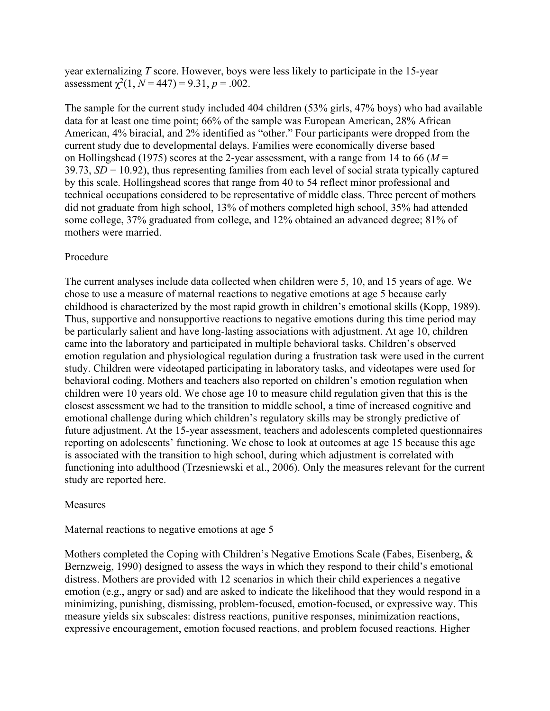year externalizing *T* score. However, boys were less likely to participate in the 15-year assessment  $\chi^2(1, N = 447) = 9.31, p = .002$ .

The sample for the current study included 404 children (53% girls, 47% boys) who had available data for at least one time point; 66% of the sample was European American, 28% African American, 4% biracial, and 2% identified as "other." Four participants were dropped from the current study due to developmental delays. Families were economically diverse based on Hollingshead (1975) scores at the 2-year assessment, with a range from 14 to 66 (*M* = 39.73, *SD* = 10.92), thus representing families from each level of social strata typically captured by this scale. Hollingshead scores that range from 40 to 54 reflect minor professional and technical occupations considered to be representative of middle class. Three percent of mothers did not graduate from high school, 13% of mothers completed high school, 35% had attended some college, 37% graduated from college, and 12% obtained an advanced degree; 81% of mothers were married.

### Procedure

The current analyses include data collected when children were 5, 10, and 15 years of age. We chose to use a measure of maternal reactions to negative emotions at age 5 because early childhood is characterized by the most rapid growth in children's emotional skills (Kopp, 1989). Thus, supportive and nonsupportive reactions to negative emotions during this time period may be particularly salient and have long-lasting associations with adjustment. At age 10, children came into the laboratory and participated in multiple behavioral tasks. Children's observed emotion regulation and physiological regulation during a frustration task were used in the current study. Children were videotaped participating in laboratory tasks, and videotapes were used for behavioral coding. Mothers and teachers also reported on children's emotion regulation when children were 10 years old. We chose age 10 to measure child regulation given that this is the closest assessment we had to the transition to middle school, a time of increased cognitive and emotional challenge during which children's regulatory skills may be strongly predictive of future adjustment. At the 15-year assessment, teachers and adolescents completed questionnaires reporting on adolescents' functioning. We chose to look at outcomes at age 15 because this age is associated with the transition to high school, during which adjustment is correlated with functioning into adulthood (Trzesniewski et al., 2006). Only the measures relevant for the current study are reported here.

### Measures

#### Maternal reactions to negative emotions at age 5

Mothers completed the Coping with Children's Negative Emotions Scale (Fabes, Eisenberg, & Bernzweig, 1990) designed to assess the ways in which they respond to their child's emotional distress. Mothers are provided with 12 scenarios in which their child experiences a negative emotion (e.g., angry or sad) and are asked to indicate the likelihood that they would respond in a minimizing, punishing, dismissing, problem-focused, emotion-focused, or expressive way. This measure yields six subscales: distress reactions, punitive responses, minimization reactions, expressive encouragement, emotion focused reactions, and problem focused reactions. Higher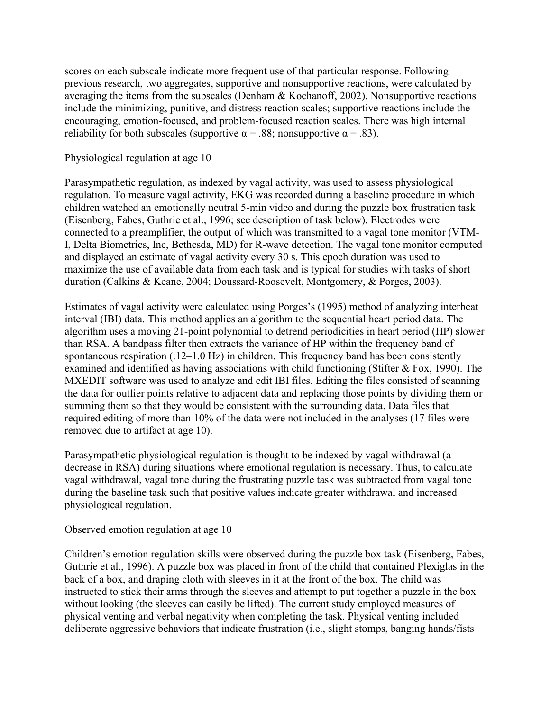scores on each subscale indicate more frequent use of that particular response. Following previous research, two aggregates, supportive and nonsupportive reactions, were calculated by averaging the items from the subscales (Denham & Kochanoff, 2002). Nonsupportive reactions include the minimizing, punitive, and distress reaction scales; supportive reactions include the encouraging, emotion-focused, and problem-focused reaction scales. There was high internal reliability for both subscales (supportive  $\alpha = .88$ ; nonsupportive  $\alpha = .83$ ).

#### Physiological regulation at age 10

Parasympathetic regulation, as indexed by vagal activity, was used to assess physiological regulation. To measure vagal activity, EKG was recorded during a baseline procedure in which children watched an emotionally neutral 5-min video and during the puzzle box frustration task (Eisenberg, Fabes, Guthrie et al., 1996; see description of task below). Electrodes were connected to a preamplifier, the output of which was transmitted to a vagal tone monitor (VTM-I, Delta Biometrics, Inc, Bethesda, MD) for R-wave detection. The vagal tone monitor computed and displayed an estimate of vagal activity every 30 s. This epoch duration was used to maximize the use of available data from each task and is typical for studies with tasks of short duration (Calkins & Keane, 2004; Doussard-Roosevelt, Montgomery, & Porges, 2003).

Estimates of vagal activity were calculated using Porges's (1995) method of analyzing interbeat interval (IBI) data. This method applies an algorithm to the sequential heart period data. The algorithm uses a moving 21-point polynomial to detrend periodicities in heart period (HP) slower than RSA. A bandpass filter then extracts the variance of HP within the frequency band of spontaneous respiration (.12–1.0 Hz) in children. This frequency band has been consistently examined and identified as having associations with child functioning (Stifter & Fox, 1990). The MXEDIT software was used to analyze and edit IBI files. Editing the files consisted of scanning the data for outlier points relative to adjacent data and replacing those points by dividing them or summing them so that they would be consistent with the surrounding data. Data files that required editing of more than 10% of the data were not included in the analyses (17 files were removed due to artifact at age 10).

Parasympathetic physiological regulation is thought to be indexed by vagal withdrawal (a decrease in RSA) during situations where emotional regulation is necessary. Thus, to calculate vagal withdrawal, vagal tone during the frustrating puzzle task was subtracted from vagal tone during the baseline task such that positive values indicate greater withdrawal and increased physiological regulation.

Observed emotion regulation at age 10

Children's emotion regulation skills were observed during the puzzle box task (Eisenberg, Fabes, Guthrie et al., 1996). A puzzle box was placed in front of the child that contained Plexiglas in the back of a box, and draping cloth with sleeves in it at the front of the box. The child was instructed to stick their arms through the sleeves and attempt to put together a puzzle in the box without looking (the sleeves can easily be lifted). The current study employed measures of physical venting and verbal negativity when completing the task. Physical venting included deliberate aggressive behaviors that indicate frustration (i.e., slight stomps, banging hands/fists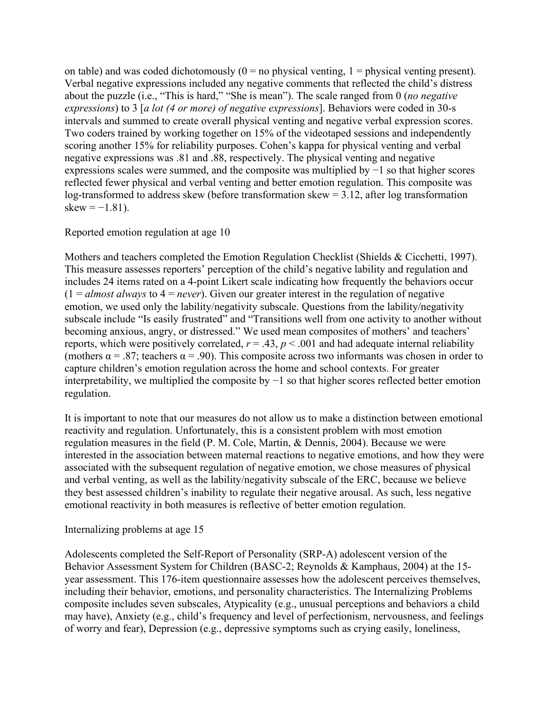on table) and was coded dichotomously  $(0 = no$  physical venting,  $1 = physical$  venting present). Verbal negative expressions included any negative comments that reflected the child's distress about the puzzle (i.e., "This is hard," "She is mean"). The scale ranged from 0 (*no negative expressions*) to 3 [*a lot (4 or more) of negative expressions*]. Behaviors were coded in 30-s intervals and summed to create overall physical venting and negative verbal expression scores. Two coders trained by working together on 15% of the videotaped sessions and independently scoring another 15% for reliability purposes. Cohen's kappa for physical venting and verbal negative expressions was .81 and .88, respectively. The physical venting and negative expressions scales were summed, and the composite was multiplied by −1 so that higher scores reflected fewer physical and verbal venting and better emotion regulation. This composite was log-transformed to address skew (before transformation skew = 3.12, after log transformation skew =  $-1.81$ ).

### Reported emotion regulation at age 10

Mothers and teachers completed the Emotion Regulation Checklist (Shields & Cicchetti, 1997). This measure assesses reporters' perception of the child's negative lability and regulation and includes 24 items rated on a 4-point Likert scale indicating how frequently the behaviors occur  $(1 = \text{almost always to } 4 = \text{never})$ . Given our greater interest in the regulation of negative emotion, we used only the lability/negativity subscale. Questions from the lability/negativity subscale include "Is easily frustrated" and "Transitions well from one activity to another without becoming anxious, angry, or distressed." We used mean composites of mothers' and teachers' reports, which were positively correlated,  $r = .43$ ,  $p < .001$  and had adequate internal reliability (mothers  $\alpha = .87$ ; teachers  $\alpha = .90$ ). This composite across two informants was chosen in order to capture children's emotion regulation across the home and school contexts. For greater interpretability, we multiplied the composite by −1 so that higher scores reflected better emotion regulation.

It is important to note that our measures do not allow us to make a distinction between emotional reactivity and regulation. Unfortunately, this is a consistent problem with most emotion regulation measures in the field (P. M. Cole, Martin, & Dennis, 2004). Because we were interested in the association between maternal reactions to negative emotions, and how they were associated with the subsequent regulation of negative emotion, we chose measures of physical and verbal venting, as well as the lability/negativity subscale of the ERC, because we believe they best assessed children's inability to regulate their negative arousal. As such, less negative emotional reactivity in both measures is reflective of better emotion regulation.

### Internalizing problems at age 15

Adolescents completed the Self-Report of Personality (SRP-A) adolescent version of the Behavior Assessment System for Children (BASC-2; Reynolds & Kamphaus, 2004) at the 15 year assessment. This 176-item questionnaire assesses how the adolescent perceives themselves, including their behavior, emotions, and personality characteristics. The Internalizing Problems composite includes seven subscales, Atypicality (e.g., unusual perceptions and behaviors a child may have), Anxiety (e.g., child's frequency and level of perfectionism, nervousness, and feelings of worry and fear), Depression (e.g., depressive symptoms such as crying easily, loneliness,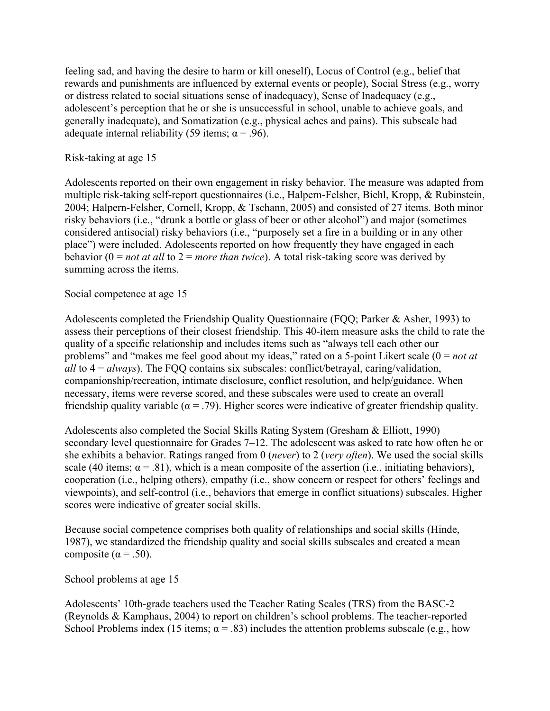feeling sad, and having the desire to harm or kill oneself), Locus of Control (e.g., belief that rewards and punishments are influenced by external events or people), Social Stress (e.g., worry or distress related to social situations sense of inadequacy), Sense of Inadequacy (e.g., adolescent's perception that he or she is unsuccessful in school, unable to achieve goals, and generally inadequate), and Somatization (e.g., physical aches and pains). This subscale had adequate internal reliability (59 items;  $\alpha$  = .96).

### Risk-taking at age 15

Adolescents reported on their own engagement in risky behavior. The measure was adapted from multiple risk-taking self-report questionnaires (i.e., Halpern-Felsher, Biehl, Kropp, & Rubinstein, 2004; Halpern-Felsher, Cornell, Kropp, & Tschann, 2005) and consisted of 27 items. Both minor risky behaviors (i.e., "drunk a bottle or glass of beer or other alcohol") and major (sometimes considered antisocial) risky behaviors (i.e., "purposely set a fire in a building or in any other place") were included. Adolescents reported on how frequently they have engaged in each behavior (0 = *not at all* to 2 = *more than twice*). A total risk-taking score was derived by summing across the items.

## Social competence at age 15

Adolescents completed the Friendship Quality Questionnaire (FQQ; Parker & Asher, 1993) to assess their perceptions of their closest friendship. This 40-item measure asks the child to rate the quality of a specific relationship and includes items such as "always tell each other our problems" and "makes me feel good about my ideas," rated on a 5-point Likert scale (0 = *not at all* to 4 = *always*). The FQQ contains six subscales: conflict/betrayal, caring/validation, companionship/recreation, intimate disclosure, conflict resolution, and help/guidance. When necessary, items were reverse scored, and these subscales were used to create an overall friendship quality variable ( $\alpha$  = .79). Higher scores were indicative of greater friendship quality.

Adolescents also completed the Social Skills Rating System (Gresham & Elliott, 1990) secondary level questionnaire for Grades 7–12. The adolescent was asked to rate how often he or she exhibits a behavior. Ratings ranged from 0 (*never*) to 2 (*very often*). We used the social skills scale (40 items;  $\alpha = .81$ ), which is a mean composite of the assertion (i.e., initiating behaviors), cooperation (i.e., helping others), empathy (i.e., show concern or respect for others' feelings and viewpoints), and self-control (i.e., behaviors that emerge in conflict situations) subscales. Higher scores were indicative of greater social skills.

Because social competence comprises both quality of relationships and social skills (Hinde, 1987), we standardized the friendship quality and social skills subscales and created a mean composite ( $\alpha$  = .50).

### School problems at age 15

Adolescents' 10th-grade teachers used the Teacher Rating Scales (TRS) from the BASC-2 (Reynolds & Kamphaus, 2004) to report on children's school problems. The teacher-reported School Problems index (15 items;  $\alpha = .83$ ) includes the attention problems subscale (e.g., how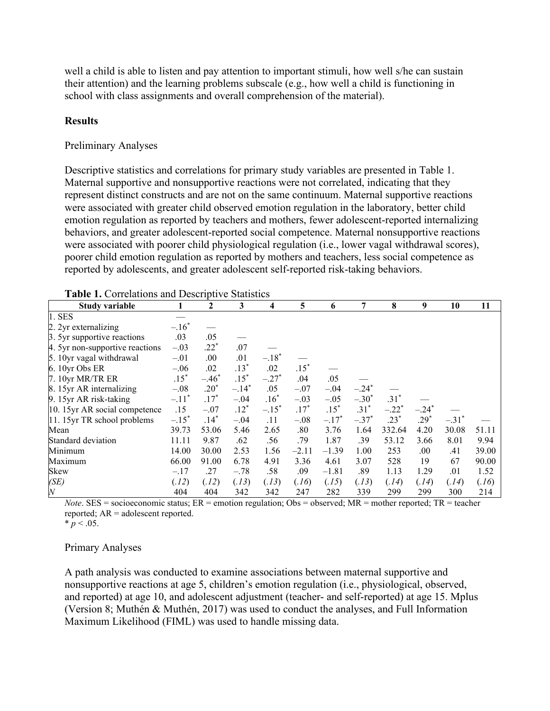well a child is able to listen and pay attention to important stimuli, how well s/he can sustain their attention) and the learning problems subscale (e.g., how well a child is functioning in school with class assignments and overall comprehension of the material).

#### **Results**

#### Preliminary Analyses

Descriptive statistics and correlations for primary study variables are presented in Table 1. Maternal supportive and nonsupportive reactions were not correlated, indicating that they represent distinct constructs and are not on the same continuum. Maternal supportive reactions were associated with greater child observed emotion regulation in the laboratory, better child emotion regulation as reported by teachers and mothers, fewer adolescent-reported internalizing behaviors, and greater adolescent-reported social competence. Maternal nonsupportive reactions were associated with poorer child physiological regulation (i.e., lower vagal withdrawal scores), poorer child emotion regulation as reported by mothers and teachers, less social competence as reported by adolescents, and greater adolescent self-reported risk-taking behaviors.

| <b>Table 1.</b> Correlations and Descriptive Statistics |                     |         |         |         |         |         |          |         |         |                     |       |
|---------------------------------------------------------|---------------------|---------|---------|---------|---------|---------|----------|---------|---------|---------------------|-------|
| Study variable                                          |                     | 2       | 3       | 4       | 5       | 6       | 7        | 8       | 9       | 10                  | 11    |
| 1. SES                                                  |                     |         |         |         |         |         |          |         |         |                     |       |
| 2. 2yr externalizing                                    | $-.16*$             |         |         |         |         |         |          |         |         |                     |       |
| 3. 5yr supportive reactions                             | .03                 | .05     |         |         |         |         |          |         |         |                     |       |
| 4. 5yr non-supportive reactions                         | $-.03$              | $.22*$  | .07     |         |         |         |          |         |         |                     |       |
| 5. 10yr vagal withdrawal                                | $-.01$              | .00     | .01     | $-.18*$ |         |         |          |         |         |                     |       |
| 6. 10yr Obs ER                                          | $-.06$              | .02     | $.13*$  | .02     | $.15*$  |         |          |         |         |                     |       |
| 7. 10yr MR/TR ER                                        | $.15*$              | $-.46*$ | $.15*$  | $-.27*$ | .04     | .05     |          |         |         |                     |       |
| 8. 15yr AR internalizing                                | $-.08$              | $.20*$  | $-.14*$ | .05     | $-.07$  | $-.04$  | $-.24^*$ |         |         |                     |       |
| 9. 15yr AR risk-taking                                  | $-.11$ <sup>*</sup> | $.17*$  | $-.04$  | $.16*$  | $-.03$  | $-.05$  | $-.30*$  | $.31*$  |         |                     |       |
| 10. 15yr AR social competence                           | .15                 | $-.07$  | $.12*$  | $-.15*$ | $.17*$  | $.15*$  | $.31*$   | $-.22*$ | $-.24*$ |                     |       |
| 11. 15yr TR school problems                             | $-.15*$             | $.14*$  | $-.04$  | .11     | $-.08$  | $-.17*$ | $-.37*$  | $.23*$  | $.29*$  | $-.31$ <sup>*</sup> |       |
| Mean                                                    | 39.73               | 53.06   | 5.46    | 2.65    | .80     | 3.76    | 1.64     | 332.64  | 4.20    | 30.08               | 51.11 |
| Standard deviation                                      | 11.11               | 9.87    | .62     | .56     | .79     | 1.87    | .39      | 53.12   | 3.66    | 8.01                | 9.94  |
| Minimum                                                 | 14.00               | 30.00   | 2.53    | 1.56    | $-2.11$ | $-1.39$ | 1.00     | 253     | .00.    | .41                 | 39.00 |
| Maximum                                                 | 66.00               | 91.00   | 6.78    | 4.91    | 3.36    | 4.61    | 3.07     | 528     | 19      | 67                  | 90.00 |
| Skew                                                    | $-.17$              | .27     | $-.78$  | .58     | .09     | $-1.81$ | .89      | 1.13    | 1.29    | .01                 | 1.52  |
| (SE)                                                    | (.12)               | (.12)   | (.13)   | (.13)   | (.16)   | (.15)   | (.13)    | (.14)   | (.14)   | (.14)               | (.16) |
| $\overline{N}$                                          | 404                 | 404     | 342     | 342     | 247     | 282     | 339      | 299     | 299     | 300                 | 214   |

| Table 1. Correlations and Descriptive Statistics |
|--------------------------------------------------|
|--------------------------------------------------|

*Note*. SES = socioeconomic status; ER = emotion regulation; Obs = observed; MR = mother reported; TR = teacher reported; AR = adolescent reported.

 $* p < .05$ .

#### Primary Analyses

A path analysis was conducted to examine associations between maternal supportive and nonsupportive reactions at age 5, children's emotion regulation (i.e., physiological, observed, and reported) at age 10, and adolescent adjustment (teacher- and self-reported) at age 15. Mplus (Version 8; Muthén & Muthén, 2017) was used to conduct the analyses, and Full Information Maximum Likelihood (FIML) was used to handle missing data.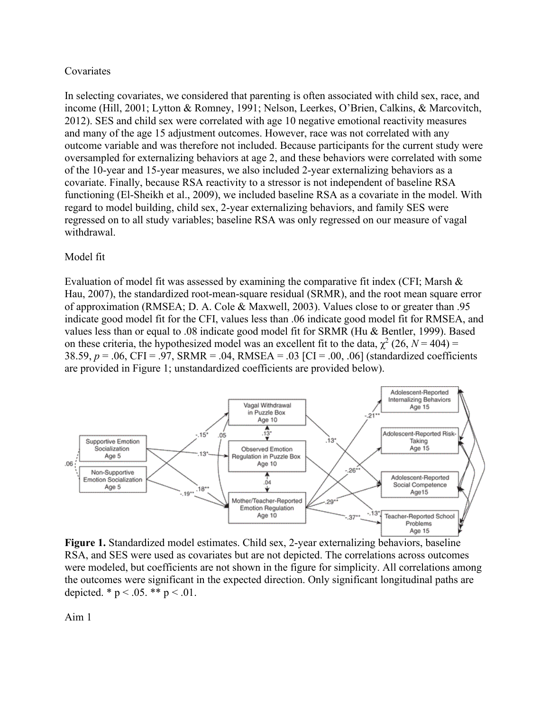#### Covariates

In selecting covariates, we considered that parenting is often associated with child sex, race, and income (Hill, 2001; Lytton & Romney, 1991; Nelson, Leerkes, O'Brien, Calkins, & Marcovitch, 2012). SES and child sex were correlated with age 10 negative emotional reactivity measures and many of the age 15 adjustment outcomes. However, race was not correlated with any outcome variable and was therefore not included. Because participants for the current study were oversampled for externalizing behaviors at age 2, and these behaviors were correlated with some of the 10-year and 15-year measures, we also included 2-year externalizing behaviors as a covariate. Finally, because RSA reactivity to a stressor is not independent of baseline RSA functioning (El-Sheikh et al., 2009), we included baseline RSA as a covariate in the model. With regard to model building, child sex, 2-year externalizing behaviors, and family SES were regressed on to all study variables; baseline RSA was only regressed on our measure of vagal withdrawal.

### Model fit

Evaluation of model fit was assessed by examining the comparative fit index (CFI; Marsh & Hau, 2007), the standardized root-mean-square residual (SRMR), and the root mean square error of approximation (RMSEA; D. A. Cole & Maxwell, 2003). Values close to or greater than .95 indicate good model fit for the CFI, values less than .06 indicate good model fit for RMSEA, and values less than or equal to .08 indicate good model fit for SRMR (Hu & Bentler, 1999). Based on these criteria, the hypothesized model was an excellent fit to the data,  $\chi^2$  (26, *N* = 404) = 38.59, *p* = .06, CFI = .97, SRMR = .04, RMSEA = .03 [CI = .00, .06] (standardized coefficients are provided in Figure 1; unstandardized coefficients are provided below).



**Figure 1.** Standardized model estimates. Child sex, 2-year externalizing behaviors, baseline RSA, and SES were used as covariates but are not depicted. The correlations across outcomes were modeled, but coefficients are not shown in the figure for simplicity. All correlations among the outcomes were significant in the expected direction. Only significant longitudinal paths are depicted. \*  $p < .05$ . \*\*  $p < .01$ .

Aim 1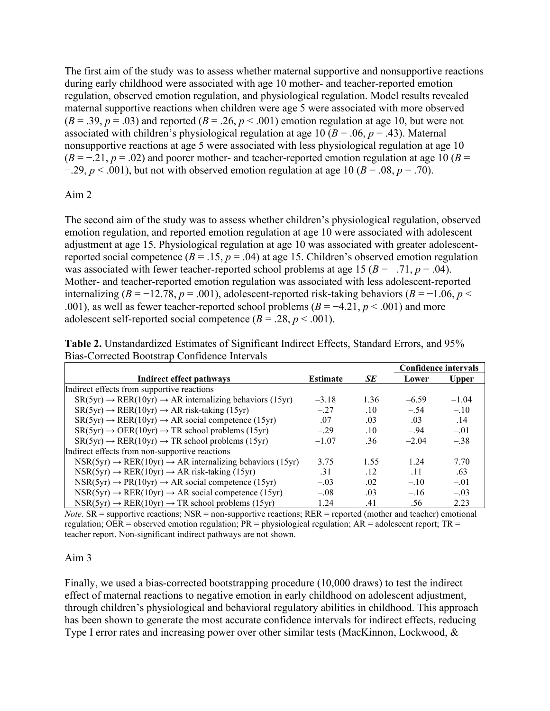The first aim of the study was to assess whether maternal supportive and nonsupportive reactions during early childhood were associated with age 10 mother- and teacher-reported emotion regulation, observed emotion regulation, and physiological regulation. Model results revealed maternal supportive reactions when children were age 5 were associated with more observed  $(B = .39, p = .03)$  and reported  $(B = .26, p < .001)$  emotion regulation at age 10, but were not associated with children's physiological regulation at age 10 ( $B = .06$ ,  $p = .43$ ). Maternal nonsupportive reactions at age 5 were associated with less physiological regulation at age 10  $(B = -0.21, p = 0.02)$  and poorer mother- and teacher-reported emotion regulation at age 10 (*B* =  $-0.29$ ,  $p < 0.001$ ), but not with observed emotion regulation at age 10 ( $B = 0.08$ ,  $p = 0.70$ ).

## Aim 2

The second aim of the study was to assess whether children's physiological regulation, observed emotion regulation, and reported emotion regulation at age 10 were associated with adolescent adjustment at age 15. Physiological regulation at age 10 was associated with greater adolescentreported social competence  $(B = .15, p = .04)$  at age 15. Children's observed emotion regulation was associated with fewer teacher-reported school problems at age 15 ( $B = -0.71$ ,  $p = 0.04$ ). Mother- and teacher-reported emotion regulation was associated with less adolescent-reported internalizing ( $B = -12.78$ ,  $p = .001$ ), adolescent-reported risk-taking behaviors ( $B = -1.06$ ,  $p <$ .001), as well as fewer teacher-reported school problems  $(B = -4.21, p < .001)$  and more adolescent self-reported social competence  $(B = .28, p < .001)$ .

**Table 2.** Unstandardized Estimates of Significant Indirect Effects, Standard Errors, and 95% Bias-Corrected Bootstrap Confidence Intervals

|                                                                                  |                 |      |         | <b>Confidence intervals</b> |  |  |
|----------------------------------------------------------------------------------|-----------------|------|---------|-----------------------------|--|--|
| Indirect effect pathways                                                         | <b>Estimate</b> | SE   | Lower   | <b>Upper</b>                |  |  |
| Indirect effects from supportive reactions                                       |                 |      |         |                             |  |  |
| $SR(5yr) \rightarrow RER(10yr) \rightarrow AR$ internalizing behaviors (15yr)    | $-3.18$         | 1.36 | $-6.59$ | $-1.04$                     |  |  |
| $SR(5yr) \rightarrow RER(10yr) \rightarrow AR risk$ -taking (15yr)               | $-.27$          | .10  | $-.54$  | $-.10$                      |  |  |
| $SR(5yr) \rightarrow RER(10yr) \rightarrow AR \text{ social competence } (15yr)$ | .07             | .03  | .03     | .14                         |  |  |
| $SR(5yr) \rightarrow OER(10yr) \rightarrow TR$ school problems (15yr)            | $-.29$          | .10  | $-.94$  | $-.01$                      |  |  |
| $SR(5yr) \rightarrow RER(10yr) \rightarrow TR$ school problems (15yr)            | $-1.07$         | .36  | $-2.04$ | $-.38$                      |  |  |
| Indirect effects from non-supportive reactions                                   |                 |      |         |                             |  |  |
| $NSR(5yr) \rightarrow RER(10yr) \rightarrow AR$ internalizing behaviors (15yr)   | 3.75            | 1.55 | 1.24    | 7.70                        |  |  |
| $NSR(5yr) \rightarrow RER(10yr) \rightarrow AR risk\text{-taking (15yr)}$        | .31             | .12  | .11     | .63                         |  |  |
| $NSR(5yr) \rightarrow PR(10yr) \rightarrow AR \text{ social competence (15yr)}$  | $-.03$          | .02  | $-.10$  | $-.01$                      |  |  |
| $NSR(5yr) \rightarrow RER(10yr) \rightarrow AR \text{ social competence (15yr)}$ | $-.08$          | .03  | $-.16$  | $-.03$                      |  |  |
| $NSR(5yr) \rightarrow RER(10yr) \rightarrow TR$ school problems (15yr)           | 1.24            | .41  | .56     | 2.23                        |  |  |

*Note*. SR = supportive reactions; NSR = non-supportive reactions; RER = reported (mother and teacher) emotional regulation; OER = observed emotion regulation;  $PR =$  physiological regulation;  $AR =$  adolescent report;  $TR =$ teacher report. Non-significant indirect pathways are not shown.

### Aim 3

Finally, we used a bias-corrected bootstrapping procedure (10,000 draws) to test the indirect effect of maternal reactions to negative emotion in early childhood on adolescent adjustment, through children's physiological and behavioral regulatory abilities in childhood. This approach has been shown to generate the most accurate confidence intervals for indirect effects, reducing Type I error rates and increasing power over other similar tests (MacKinnon, Lockwood, &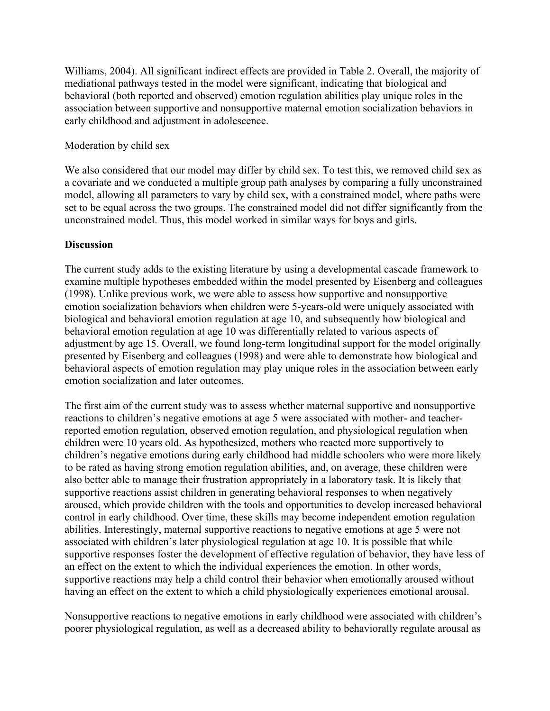Williams, 2004). All significant indirect effects are provided in Table 2. Overall, the majority of mediational pathways tested in the model were significant, indicating that biological and behavioral (both reported and observed) emotion regulation abilities play unique roles in the association between supportive and nonsupportive maternal emotion socialization behaviors in early childhood and adjustment in adolescence.

### Moderation by child sex

We also considered that our model may differ by child sex. To test this, we removed child sex as a covariate and we conducted a multiple group path analyses by comparing a fully unconstrained model, allowing all parameters to vary by child sex, with a constrained model, where paths were set to be equal across the two groups. The constrained model did not differ significantly from the unconstrained model. Thus, this model worked in similar ways for boys and girls.

## **Discussion**

The current study adds to the existing literature by using a developmental cascade framework to examine multiple hypotheses embedded within the model presented by Eisenberg and colleagues (1998). Unlike previous work, we were able to assess how supportive and nonsupportive emotion socialization behaviors when children were 5-years-old were uniquely associated with biological and behavioral emotion regulation at age 10, and subsequently how biological and behavioral emotion regulation at age 10 was differentially related to various aspects of adjustment by age 15. Overall, we found long-term longitudinal support for the model originally presented by Eisenberg and colleagues (1998) and were able to demonstrate how biological and behavioral aspects of emotion regulation may play unique roles in the association between early emotion socialization and later outcomes.

The first aim of the current study was to assess whether maternal supportive and nonsupportive reactions to children's negative emotions at age 5 were associated with mother- and teacherreported emotion regulation, observed emotion regulation, and physiological regulation when children were 10 years old. As hypothesized, mothers who reacted more supportively to children's negative emotions during early childhood had middle schoolers who were more likely to be rated as having strong emotion regulation abilities, and, on average, these children were also better able to manage their frustration appropriately in a laboratory task. It is likely that supportive reactions assist children in generating behavioral responses to when negatively aroused, which provide children with the tools and opportunities to develop increased behavioral control in early childhood. Over time, these skills may become independent emotion regulation abilities. Interestingly, maternal supportive reactions to negative emotions at age 5 were not associated with children's later physiological regulation at age 10. It is possible that while supportive responses foster the development of effective regulation of behavior, they have less of an effect on the extent to which the individual experiences the emotion. In other words, supportive reactions may help a child control their behavior when emotionally aroused without having an effect on the extent to which a child physiologically experiences emotional arousal.

Nonsupportive reactions to negative emotions in early childhood were associated with children's poorer physiological regulation, as well as a decreased ability to behaviorally regulate arousal as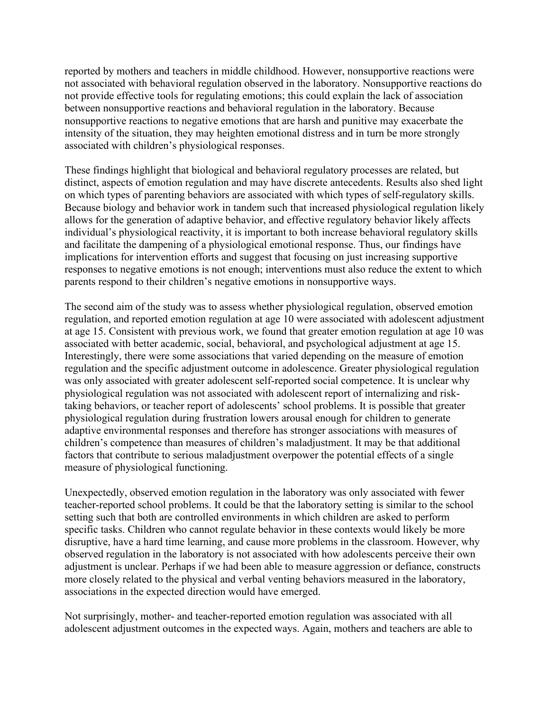reported by mothers and teachers in middle childhood. However, nonsupportive reactions were not associated with behavioral regulation observed in the laboratory. Nonsupportive reactions do not provide effective tools for regulating emotions; this could explain the lack of association between nonsupportive reactions and behavioral regulation in the laboratory. Because nonsupportive reactions to negative emotions that are harsh and punitive may exacerbate the intensity of the situation, they may heighten emotional distress and in turn be more strongly associated with children's physiological responses.

These findings highlight that biological and behavioral regulatory processes are related, but distinct, aspects of emotion regulation and may have discrete antecedents. Results also shed light on which types of parenting behaviors are associated with which types of self-regulatory skills. Because biology and behavior work in tandem such that increased physiological regulation likely allows for the generation of adaptive behavior, and effective regulatory behavior likely affects individual's physiological reactivity, it is important to both increase behavioral regulatory skills and facilitate the dampening of a physiological emotional response. Thus, our findings have implications for intervention efforts and suggest that focusing on just increasing supportive responses to negative emotions is not enough; interventions must also reduce the extent to which parents respond to their children's negative emotions in nonsupportive ways.

The second aim of the study was to assess whether physiological regulation, observed emotion regulation, and reported emotion regulation at age 10 were associated with adolescent adjustment at age 15. Consistent with previous work, we found that greater emotion regulation at age 10 was associated with better academic, social, behavioral, and psychological adjustment at age 15. Interestingly, there were some associations that varied depending on the measure of emotion regulation and the specific adjustment outcome in adolescence. Greater physiological regulation was only associated with greater adolescent self-reported social competence. It is unclear why physiological regulation was not associated with adolescent report of internalizing and risktaking behaviors, or teacher report of adolescents' school problems. It is possible that greater physiological regulation during frustration lowers arousal enough for children to generate adaptive environmental responses and therefore has stronger associations with measures of children's competence than measures of children's maladjustment. It may be that additional factors that contribute to serious maladjustment overpower the potential effects of a single measure of physiological functioning.

Unexpectedly, observed emotion regulation in the laboratory was only associated with fewer teacher-reported school problems. It could be that the laboratory setting is similar to the school setting such that both are controlled environments in which children are asked to perform specific tasks. Children who cannot regulate behavior in these contexts would likely be more disruptive, have a hard time learning, and cause more problems in the classroom. However, why observed regulation in the laboratory is not associated with how adolescents perceive their own adjustment is unclear. Perhaps if we had been able to measure aggression or defiance, constructs more closely related to the physical and verbal venting behaviors measured in the laboratory, associations in the expected direction would have emerged.

Not surprisingly, mother- and teacher-reported emotion regulation was associated with all adolescent adjustment outcomes in the expected ways. Again, mothers and teachers are able to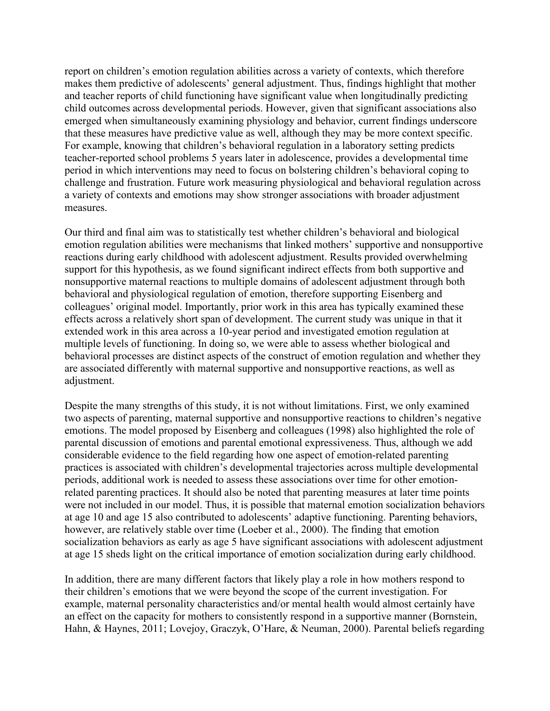report on children's emotion regulation abilities across a variety of contexts, which therefore makes them predictive of adolescents' general adjustment. Thus, findings highlight that mother and teacher reports of child functioning have significant value when longitudinally predicting child outcomes across developmental periods. However, given that significant associations also emerged when simultaneously examining physiology and behavior, current findings underscore that these measures have predictive value as well, although they may be more context specific. For example, knowing that children's behavioral regulation in a laboratory setting predicts teacher-reported school problems 5 years later in adolescence, provides a developmental time period in which interventions may need to focus on bolstering children's behavioral coping to challenge and frustration. Future work measuring physiological and behavioral regulation across a variety of contexts and emotions may show stronger associations with broader adjustment measures.

Our third and final aim was to statistically test whether children's behavioral and biological emotion regulation abilities were mechanisms that linked mothers' supportive and nonsupportive reactions during early childhood with adolescent adjustment. Results provided overwhelming support for this hypothesis, as we found significant indirect effects from both supportive and nonsupportive maternal reactions to multiple domains of adolescent adjustment through both behavioral and physiological regulation of emotion, therefore supporting Eisenberg and colleagues' original model. Importantly, prior work in this area has typically examined these effects across a relatively short span of development. The current study was unique in that it extended work in this area across a 10-year period and investigated emotion regulation at multiple levels of functioning. In doing so, we were able to assess whether biological and behavioral processes are distinct aspects of the construct of emotion regulation and whether they are associated differently with maternal supportive and nonsupportive reactions, as well as adjustment.

Despite the many strengths of this study, it is not without limitations. First, we only examined two aspects of parenting, maternal supportive and nonsupportive reactions to children's negative emotions. The model proposed by Eisenberg and colleagues (1998) also highlighted the role of parental discussion of emotions and parental emotional expressiveness. Thus, although we add considerable evidence to the field regarding how one aspect of emotion-related parenting practices is associated with children's developmental trajectories across multiple developmental periods, additional work is needed to assess these associations over time for other emotionrelated parenting practices. It should also be noted that parenting measures at later time points were not included in our model. Thus, it is possible that maternal emotion socialization behaviors at age 10 and age 15 also contributed to adolescents' adaptive functioning. Parenting behaviors, however, are relatively stable over time (Loeber et al., 2000). The finding that emotion socialization behaviors as early as age 5 have significant associations with adolescent adjustment at age 15 sheds light on the critical importance of emotion socialization during early childhood.

In addition, there are many different factors that likely play a role in how mothers respond to their children's emotions that we were beyond the scope of the current investigation. For example, maternal personality characteristics and/or mental health would almost certainly have an effect on the capacity for mothers to consistently respond in a supportive manner (Bornstein, Hahn, & Haynes, 2011; Lovejoy, Graczyk, O'Hare, & Neuman, 2000). Parental beliefs regarding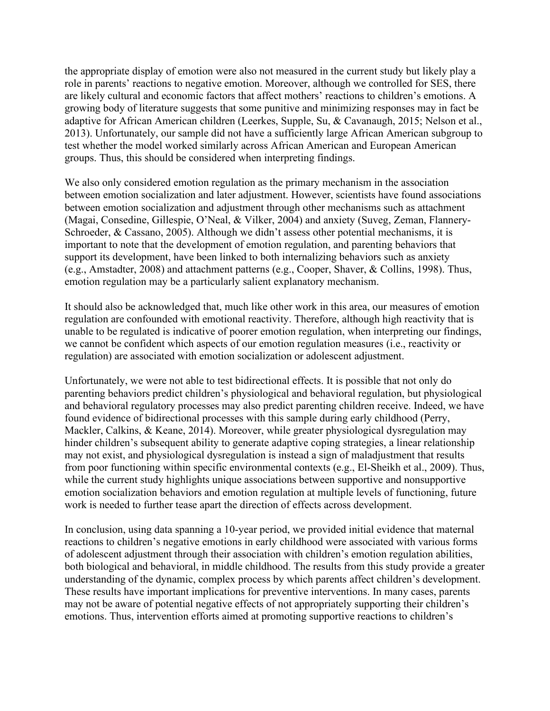the appropriate display of emotion were also not measured in the current study but likely play a role in parents' reactions to negative emotion. Moreover, although we controlled for SES, there are likely cultural and economic factors that affect mothers' reactions to children's emotions. A growing body of literature suggests that some punitive and minimizing responses may in fact be adaptive for African American children (Leerkes, Supple, Su, & Cavanaugh, 2015; Nelson et al., 2013). Unfortunately, our sample did not have a sufficiently large African American subgroup to test whether the model worked similarly across African American and European American groups. Thus, this should be considered when interpreting findings.

We also only considered emotion regulation as the primary mechanism in the association between emotion socialization and later adjustment. However, scientists have found associations between emotion socialization and adjustment through other mechanisms such as attachment (Magai, Consedine, Gillespie, O'Neal, & Vilker, 2004) and anxiety (Suveg, Zeman, Flannery-Schroeder, & Cassano, 2005). Although we didn't assess other potential mechanisms, it is important to note that the development of emotion regulation, and parenting behaviors that support its development, have been linked to both internalizing behaviors such as anxiety (e.g., Amstadter, 2008) and attachment patterns (e.g., Cooper, Shaver, & Collins, 1998). Thus, emotion regulation may be a particularly salient explanatory mechanism.

It should also be acknowledged that, much like other work in this area, our measures of emotion regulation are confounded with emotional reactivity. Therefore, although high reactivity that is unable to be regulated is indicative of poorer emotion regulation, when interpreting our findings, we cannot be confident which aspects of our emotion regulation measures (i.e., reactivity or regulation) are associated with emotion socialization or adolescent adjustment.

Unfortunately, we were not able to test bidirectional effects. It is possible that not only do parenting behaviors predict children's physiological and behavioral regulation, but physiological and behavioral regulatory processes may also predict parenting children receive. Indeed, we have found evidence of bidirectional processes with this sample during early childhood (Perry, Mackler, Calkins, & Keane, 2014). Moreover, while greater physiological dysregulation may hinder children's subsequent ability to generate adaptive coping strategies, a linear relationship may not exist, and physiological dysregulation is instead a sign of maladjustment that results from poor functioning within specific environmental contexts (e.g., El-Sheikh et al., 2009). Thus, while the current study highlights unique associations between supportive and nonsupportive emotion socialization behaviors and emotion regulation at multiple levels of functioning, future work is needed to further tease apart the direction of effects across development.

In conclusion, using data spanning a 10-year period, we provided initial evidence that maternal reactions to children's negative emotions in early childhood were associated with various forms of adolescent adjustment through their association with children's emotion regulation abilities, both biological and behavioral, in middle childhood. The results from this study provide a greater understanding of the dynamic, complex process by which parents affect children's development. These results have important implications for preventive interventions. In many cases, parents may not be aware of potential negative effects of not appropriately supporting their children's emotions. Thus, intervention efforts aimed at promoting supportive reactions to children's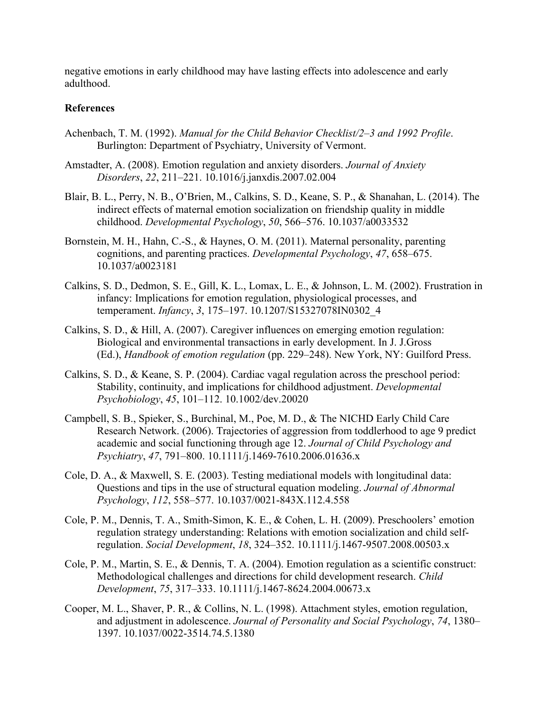negative emotions in early childhood may have lasting effects into adolescence and early adulthood.

#### **References**

- Achenbach, T. M. (1992). *Manual for the Child Behavior Checklist/2–3 and 1992 Profile*. Burlington: Department of Psychiatry, University of Vermont.
- Amstadter, A. (2008). Emotion regulation and anxiety disorders. *Journal of Anxiety Disorders*, *22*, 211–221. 10.1016/j.janxdis.2007.02.004
- Blair, B. L., Perry, N. B., O'Brien, M., Calkins, S. D., Keane, S. P., & Shanahan, L. (2014). The indirect effects of maternal emotion socialization on friendship quality in middle childhood. *Developmental Psychology*, *50*, 566–576. 10.1037/a0033532
- Bornstein, M. H., Hahn, C.-S., & Haynes, O. M. (2011). Maternal personality, parenting cognitions, and parenting practices. *Developmental Psychology*, *47*, 658–675. 10.1037/a0023181
- Calkins, S. D., Dedmon, S. E., Gill, K. L., Lomax, L. E., & Johnson, L. M. (2002). Frustration in infancy: Implications for emotion regulation, physiological processes, and temperament. *Infancy*, *3*, 175–197. 10.1207/S15327078IN0302\_4
- Calkins, S. D., & Hill, A. (2007). Caregiver influences on emerging emotion regulation: Biological and environmental transactions in early development. In J. J.Gross (Ed.), *Handbook of emotion regulation* (pp. 229–248). New York, NY: Guilford Press.
- Calkins, S. D., & Keane, S. P. (2004). Cardiac vagal regulation across the preschool period: Stability, continuity, and implications for childhood adjustment. *Developmental Psychobiology*, *45*, 101–112. 10.1002/dev.20020
- Campbell, S. B., Spieker, S., Burchinal, M., Poe, M. D., & The NICHD Early Child Care Research Network. (2006). Trajectories of aggression from toddlerhood to age 9 predict academic and social functioning through age 12. *Journal of Child Psychology and Psychiatry*, *47*, 791–800. 10.1111/j.1469-7610.2006.01636.x
- Cole, D. A., & Maxwell, S. E. (2003). Testing mediational models with longitudinal data: Questions and tips in the use of structural equation modeling. *Journal of Abnormal Psychology*, *112*, 558–577. 10.1037/0021-843X.112.4.558
- Cole, P. M., Dennis, T. A., Smith-Simon, K. E., & Cohen, L. H. (2009). Preschoolers' emotion regulation strategy understanding: Relations with emotion socialization and child selfregulation. *Social Development*, *18*, 324–352. 10.1111/j.1467-9507.2008.00503.x
- Cole, P. M., Martin, S. E., & Dennis, T. A. (2004). Emotion regulation as a scientific construct: Methodological challenges and directions for child development research. *Child Development*, *75*, 317–333. 10.1111/j.1467-8624.2004.00673.x
- Cooper, M. L., Shaver, P. R., & Collins, N. L. (1998). Attachment styles, emotion regulation, and adjustment in adolescence. *Journal of Personality and Social Psychology*, *74*, 1380– 1397. 10.1037/0022-3514.74.5.1380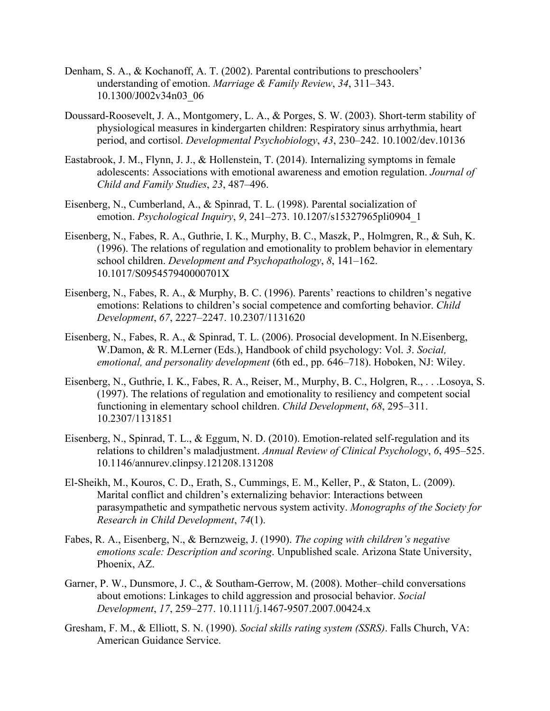- Denham, S. A., & Kochanoff, A. T. (2002). Parental contributions to preschoolers' understanding of emotion. *Marriage & Family Review*, *34*, 311–343. 10.1300/J002v34n03\_06
- Doussard-Roosevelt, J. A., Montgomery, L. A., & Porges, S. W. (2003). Short-term stability of physiological measures in kindergarten children: Respiratory sinus arrhythmia, heart period, and cortisol. *Developmental Psychobiology*, *43*, 230–242. 10.1002/dev.10136
- Eastabrook, J. M., Flynn, J. J., & Hollenstein, T. (2014). Internalizing symptoms in female adolescents: Associations with emotional awareness and emotion regulation. *Journal of Child and Family Studies*, *23*, 487–496.
- Eisenberg, N., Cumberland, A., & Spinrad, T. L. (1998). Parental socialization of emotion. *Psychological Inquiry*, *9*, 241–273. 10.1207/s15327965pli0904\_1
- Eisenberg, N., Fabes, R. A., Guthrie, I. K., Murphy, B. C., Maszk, P., Holmgren, R., & Suh, K. (1996). The relations of regulation and emotionality to problem behavior in elementary school children. *Development and Psychopathology*, *8*, 141–162. 10.1017/S095457940000701X
- Eisenberg, N., Fabes, R. A., & Murphy, B. C. (1996). Parents' reactions to children's negative emotions: Relations to children's social competence and comforting behavior. *Child Development*, *67*, 2227–2247. 10.2307/1131620
- Eisenberg, N., Fabes, R. A., & Spinrad, T. L. (2006). Prosocial development. In N.Eisenberg, W.Damon, & R. M.Lerner (Eds.), Handbook of child psychology: Vol. *3*. *Social, emotional, and personality development* (6th ed., pp. 646–718). Hoboken, NJ: Wiley.
- Eisenberg, N., Guthrie, I. K., Fabes, R. A., Reiser, M., Murphy, B. C., Holgren, R., . . .Losoya, S. (1997). The relations of regulation and emotionality to resiliency and competent social functioning in elementary school children. *Child Development*, *68*, 295–311. 10.2307/1131851
- Eisenberg, N., Spinrad, T. L., & Eggum, N. D. (2010). Emotion-related self-regulation and its relations to children's maladjustment. *Annual Review of Clinical Psychology*, *6*, 495–525. 10.1146/annurev.clinpsy.121208.131208
- El-Sheikh, M., Kouros, C. D., Erath, S., Cummings, E. M., Keller, P., & Staton, L. (2009). Marital conflict and children's externalizing behavior: Interactions between parasympathetic and sympathetic nervous system activity. *Monographs of the Society for Research in Child Development*, *74*(1).
- Fabes, R. A., Eisenberg, N., & Bernzweig, J. (1990). *The coping with children's negative emotions scale: Description and scoring*. Unpublished scale. Arizona State University, Phoenix, AZ.
- Garner, P. W., Dunsmore, J. C., & Southam-Gerrow, M. (2008). Mother–child conversations about emotions: Linkages to child aggression and prosocial behavior. *Social Development*, *17*, 259–277. 10.1111/j.1467-9507.2007.00424.x
- Gresham, F. M., & Elliott, S. N. (1990). *Social skills rating system (SSRS)*. Falls Church, VA: American Guidance Service.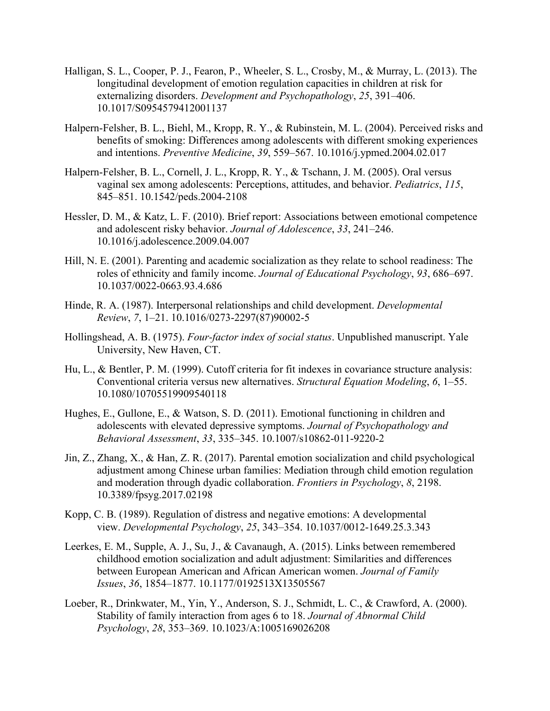- Halligan, S. L., Cooper, P. J., Fearon, P., Wheeler, S. L., Crosby, M., & Murray, L. (2013). The longitudinal development of emotion regulation capacities in children at risk for externalizing disorders. *Development and Psychopathology*, *25*, 391–406. 10.1017/S0954579412001137
- Halpern-Felsher, B. L., Biehl, M., Kropp, R. Y., & Rubinstein, M. L. (2004). Perceived risks and benefits of smoking: Differences among adolescents with different smoking experiences and intentions. *Preventive Medicine*, *39*, 559–567. 10.1016/j.ypmed.2004.02.017
- Halpern-Felsher, B. L., Cornell, J. L., Kropp, R. Y., & Tschann, J. M. (2005). Oral versus vaginal sex among adolescents: Perceptions, attitudes, and behavior. *Pediatrics*, *115*, 845–851. 10.1542/peds.2004-2108
- Hessler, D. M., & Katz, L. F. (2010). Brief report: Associations between emotional competence and adolescent risky behavior. *Journal of Adolescence*, *33*, 241–246. 10.1016/j.adolescence.2009.04.007
- Hill, N. E. (2001). Parenting and academic socialization as they relate to school readiness: The roles of ethnicity and family income. *Journal of Educational Psychology*, *93*, 686–697. 10.1037/0022-0663.93.4.686
- Hinde, R. A. (1987). Interpersonal relationships and child development. *Developmental Review*, *7*, 1–21. 10.1016/0273-2297(87)90002-5
- Hollingshead, A. B. (1975). *Four-factor index of social status*. Unpublished manuscript. Yale University, New Haven, CT.
- Hu, L., & Bentler, P. M. (1999). Cutoff criteria for fit indexes in covariance structure analysis: Conventional criteria versus new alternatives. *Structural Equation Modeling*, *6*, 1–55. 10.1080/10705519909540118
- Hughes, E., Gullone, E., & Watson, S. D. (2011). Emotional functioning in children and adolescents with elevated depressive symptoms. *Journal of Psychopathology and Behavioral Assessment*, *33*, 335–345. 10.1007/s10862-011-9220-2
- Jin, Z., Zhang, X., & Han, Z. R. (2017). Parental emotion socialization and child psychological adjustment among Chinese urban families: Mediation through child emotion regulation and moderation through dyadic collaboration. *Frontiers in Psychology*, *8*, 2198. 10.3389/fpsyg.2017.02198
- Kopp, C. B. (1989). Regulation of distress and negative emotions: A developmental view. *Developmental Psychology*, *25*, 343–354. 10.1037/0012-1649.25.3.343
- Leerkes, E. M., Supple, A. J., Su, J., & Cavanaugh, A. (2015). Links between remembered childhood emotion socialization and adult adjustment: Similarities and differences between European American and African American women. *Journal of Family Issues*, *36*, 1854–1877. 10.1177/0192513X13505567
- Loeber, R., Drinkwater, M., Yin, Y., Anderson, S. J., Schmidt, L. C., & Crawford, A. (2000). Stability of family interaction from ages 6 to 18. *Journal of Abnormal Child Psychology*, *28*, 353–369. 10.1023/A:1005169026208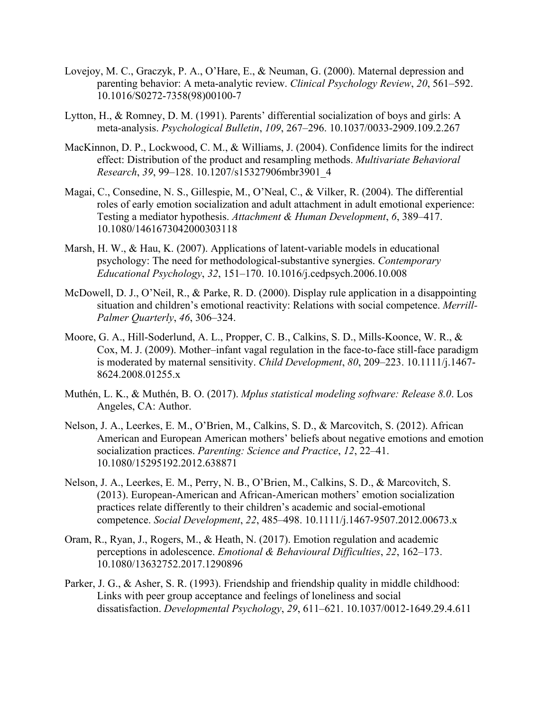- Lovejoy, M. C., Graczyk, P. A., O'Hare, E., & Neuman, G. (2000). Maternal depression and parenting behavior: A meta-analytic review. *Clinical Psychology Review*, *20*, 561–592. 10.1016/S0272-7358(98)00100-7
- Lytton, H., & Romney, D. M. (1991). Parents' differential socialization of boys and girls: A meta-analysis. *Psychological Bulletin*, *109*, 267–296. 10.1037/0033-2909.109.2.267
- MacKinnon, D. P., Lockwood, C. M., & Williams, J. (2004). Confidence limits for the indirect effect: Distribution of the product and resampling methods. *Multivariate Behavioral Research*, *39*, 99–128. 10.1207/s15327906mbr3901\_4
- Magai, C., Consedine, N. S., Gillespie, M., O'Neal, C., & Vilker, R. (2004). The differential roles of early emotion socialization and adult attachment in adult emotional experience: Testing a mediator hypothesis. *Attachment & Human Development*, *6*, 389–417. 10.1080/1461673042000303118
- Marsh, H. W., & Hau, K. (2007). Applications of latent-variable models in educational psychology: The need for methodological-substantive synergies. *Contemporary Educational Psychology*, *32*, 151–170. 10.1016/j.cedpsych.2006.10.008
- McDowell, D. J., O'Neil, R., & Parke, R. D. (2000). Display rule application in a disappointing situation and children's emotional reactivity: Relations with social competence. *Merrill-Palmer Quarterly*, *46*, 306–324.
- Moore, G. A., Hill-Soderlund, A. L., Propper, C. B., Calkins, S. D., Mills-Koonce, W. R., & Cox, M. J. (2009). Mother–infant vagal regulation in the face-to-face still-face paradigm is moderated by maternal sensitivity. *Child Development*, *80*, 209–223. 10.1111/j.1467- 8624.2008.01255.x
- Muthén, L. K., & Muthén, B. O. (2017). *Mplus statistical modeling software: Release 8.0*. Los Angeles, CA: Author.
- Nelson, J. A., Leerkes, E. M., O'Brien, M., Calkins, S. D., & Marcovitch, S. (2012). African American and European American mothers' beliefs about negative emotions and emotion socialization practices. *Parenting: Science and Practice*, *12*, 22–41. 10.1080/15295192.2012.638871
- Nelson, J. A., Leerkes, E. M., Perry, N. B., O'Brien, M., Calkins, S. D., & Marcovitch, S. (2013). European-American and African-American mothers' emotion socialization practices relate differently to their children's academic and social-emotional competence. *Social Development*, *22*, 485–498. 10.1111/j.1467-9507.2012.00673.x
- Oram, R., Ryan, J., Rogers, M., & Heath, N. (2017). Emotion regulation and academic perceptions in adolescence. *Emotional & Behavioural Difficulties*, *22*, 162–173. 10.1080/13632752.2017.1290896
- Parker, J. G., & Asher, S. R. (1993). Friendship and friendship quality in middle childhood: Links with peer group acceptance and feelings of loneliness and social dissatisfaction. *Developmental Psychology*, *29*, 611–621. 10.1037/0012-1649.29.4.611